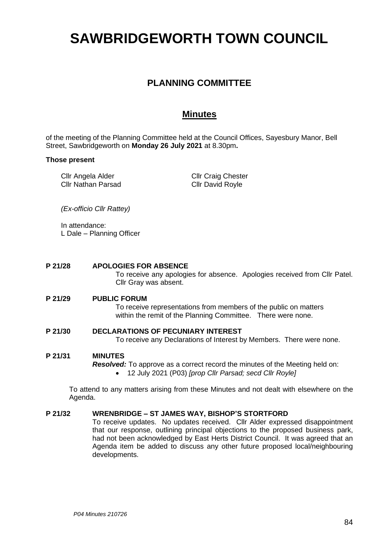# **SAWBRIDGEWORTH TOWN COUNCIL**

# **PLANNING COMMITTEE**

# **Minutes**

of the meeting of the Planning Committee held at the Council Offices, Sayesbury Manor, Bell Street, Sawbridgeworth on **Monday 26 July 2021** at 8.30pm**.**

#### **Those present**

Cllr Angela Alder Cllr Nathan Parsad Cllr Craig Chester Cllr David Royle

*(Ex-officio Cllr Rattey)*

In attendance: L Dale – Planning Officer

# **P 21/28 APOLOGIES FOR ABSENCE**

To receive any apologies for absence. Apologies received from Cllr Patel. Cllr Gray was absent.

# **P 21/29 PUBLIC FORUM**

To receive representations from members of the public on matters within the remit of the Planning Committee. There were none.

# **P 21/30 DECLARATIONS OF PECUNIARY INTEREST**

To receive any Declarations of Interest by Members. There were none.

# **P 21/31 MINUTES**

*Resolved:* To approve as a correct record the minutes of the Meeting held on:

• 12 July 2021 (P03) *[prop Cllr Parsad; secd Cllr Royle]*

To attend to any matters arising from these Minutes and not dealt with elsewhere on the Agenda.

# **P 21/32 WRENBRIDGE – ST JAMES WAY, BISHOP'S STORTFORD**

To receive updates. No updates received. Cllr Alder expressed disappointment that our response, outlining principal objections to the proposed business park, had not been acknowledged by East Herts District Council. It was agreed that an Agenda item be added to discuss any other future proposed local/neighbouring developments.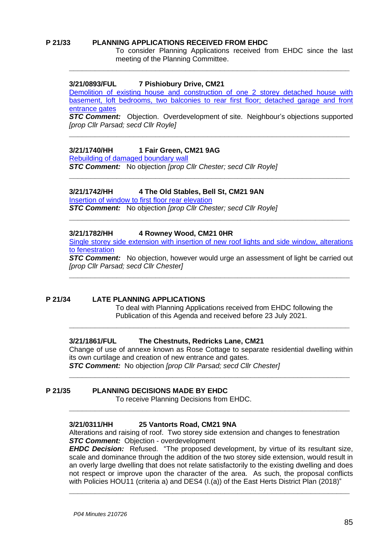### **P 21/33 PLANNING APPLICATIONS RECEIVED FROM EHDC**

To consider Planning Applications received from EHDC since the last meeting of the Planning Committee.

#### **3/21/0893/FUL 7 Pishiobury Drive, CM21**

[Demolition of existing house and construction of one 2 storey detached house with](https://publicaccess.eastherts.gov.uk/online-applications/applicationDetails.do?activeTab=documents&keyVal=QR6PPXGL04O00)  [basement, loft bedrooms, two balconies to rear first floor;](https://publicaccess.eastherts.gov.uk/online-applications/applicationDetails.do?activeTab=documents&keyVal=QR6PPXGL04O00) detached garage and front [entrance gates](https://publicaccess.eastherts.gov.uk/online-applications/applicationDetails.do?activeTab=documents&keyVal=QR6PPXGL04O00)

**\_\_\_\_\_\_\_\_\_\_\_\_\_\_\_\_\_\_\_\_\_\_\_\_\_\_\_\_\_\_\_\_\_\_\_\_\_\_\_\_\_\_\_\_\_\_\_\_\_\_\_\_\_\_\_\_\_\_\_\_\_\_\_\_\_**

*STC Comment:* Objection. Overdevelopment of site. Neighbour's objections supported *[prop Cllr Parsad; secd Cllr Royle]*

**\_\_\_\_\_\_\_\_\_\_\_\_\_\_\_\_\_\_\_\_\_\_\_\_\_\_\_\_\_\_\_\_\_\_\_\_\_\_\_\_\_\_\_\_\_\_\_\_\_\_\_\_\_\_\_\_\_\_\_\_\_\_\_\_\_**

**\_\_\_\_\_\_\_\_\_\_\_\_\_\_\_\_\_\_\_\_\_\_\_\_\_\_\_\_\_\_\_\_\_\_\_\_\_\_\_\_\_\_\_\_\_\_\_\_\_\_\_\_\_\_\_\_\_\_\_\_\_\_\_\_\_**

#### **3/21/1740/HH 1 Fair Green, CM21 9AG**

[Rebuilding of damaged boundary wall](https://publicaccess.eastherts.gov.uk/online-applications/applicationDetails.do?activeTab=documents&keyVal=QVISGJGLFTM00)

*STC Comment:* No objection *[prop Cllr Chester; secd Cllr Royle]*

#### **3/21/1742/HH 4 The Old Stables, Bell St, CM21 9AN**

[Insertion of window to first floor rear elevation](https://publicaccess.eastherts.gov.uk/online-applications/applicationDetails.do?activeTab=documents&keyVal=QVK0TQGLFTS00)

*STC Comment:* No objection *[prop Cllr Chester; secd Cllr Royle]*

#### **3/21/1782/HH 4 Rowney Wood, CM21 0HR**

[Single storey side extension with insertion of new roof lights and side window, alterations](https://publicaccess.eastherts.gov.uk/online-applications/applicationDetails.do?activeTab=documents&keyVal=QVTA8QGLFWU00)  [to fenestration](https://publicaccess.eastherts.gov.uk/online-applications/applicationDetails.do?activeTab=documents&keyVal=QVTA8QGLFWU00)

**\_\_\_\_\_\_\_\_\_\_\_\_\_\_\_\_\_\_\_\_\_\_\_\_\_\_\_\_\_\_\_\_\_\_\_\_\_\_\_\_\_\_\_\_\_\_\_\_\_\_\_\_\_\_\_\_\_\_\_\_\_\_\_\_\_**

**STC Comment:** No objection, however would urge an assessment of light be carried out *[prop Cllr Parsad; secd Cllr Chester]*

**\_\_\_\_\_\_\_\_\_\_\_\_\_\_\_\_\_\_\_\_\_\_\_\_\_\_\_\_\_\_\_\_\_\_\_\_\_\_\_\_\_\_\_\_\_\_\_\_\_\_\_\_\_\_\_\_\_\_\_\_\_\_\_\_\_**

#### **P 21/34 LATE PLANNING APPLICATIONS**

To deal with Planning Applications received from EHDC following the Publication of this Agenda and received before 23 July 2021.

#### **3/21/1861/FUL The Chestnuts, Redricks Lane, CM21**

Change of use of annexe known as Rose Cottage to separate residential dwelling within its own curtilage and creation of new entrance and gates. *STC Comment:* No objection *[prop Cllr Parsad; secd Cllr Chester]*

**\_\_\_\_\_\_\_\_\_\_\_\_\_\_\_\_\_\_\_\_\_\_\_\_\_\_\_\_\_\_\_\_\_\_\_\_\_\_\_\_\_\_\_\_\_\_\_\_\_\_\_\_\_\_\_\_\_\_\_\_\_\_\_\_\_**

**\_\_\_\_\_\_\_\_\_\_\_\_\_\_\_\_\_\_\_\_\_\_\_\_\_\_\_\_\_\_\_\_\_\_\_\_\_\_\_\_\_\_\_\_\_\_\_\_\_\_\_\_\_\_\_\_\_\_\_\_\_\_\_\_\_**

**\_\_\_\_\_\_\_\_\_\_\_\_\_\_\_\_\_\_\_\_\_\_\_\_\_\_\_\_\_\_\_\_\_\_\_\_\_\_\_\_\_\_\_\_\_\_\_\_\_\_\_\_\_\_\_\_\_\_\_\_\_\_\_\_\_**

#### **P 21/35 PLANNING DECISIONS MADE BY EHDC**

To receive Planning Decisions from EHDC.

#### **3/21/0311/HH 25 Vantorts Road, CM21 9NA**

Alterations and raising of roof. Two storey side extension and changes to fenestration *STC Comment:* Objection - overdevelopment

*EHDC Decision:* Refused. "The proposed development, by virtue of its resultant size, scale and dominance through the addition of the two storey side extension, would result in an overly large dwelling that does not relate satisfactorily to the existing dwelling and does not respect or improve upon the character of the area. As such, the proposal conflicts with Policies HOU11 (criteria a) and DES4 (I.(a)) of the East Herts District Plan (2018)"

**\_\_\_\_\_\_\_\_\_\_\_\_\_\_\_\_\_\_\_\_\_\_\_\_\_\_\_\_\_\_\_\_\_\_\_\_\_\_\_\_\_\_\_\_\_\_\_\_\_\_\_\_\_\_\_\_\_\_\_\_\_\_\_\_\_**